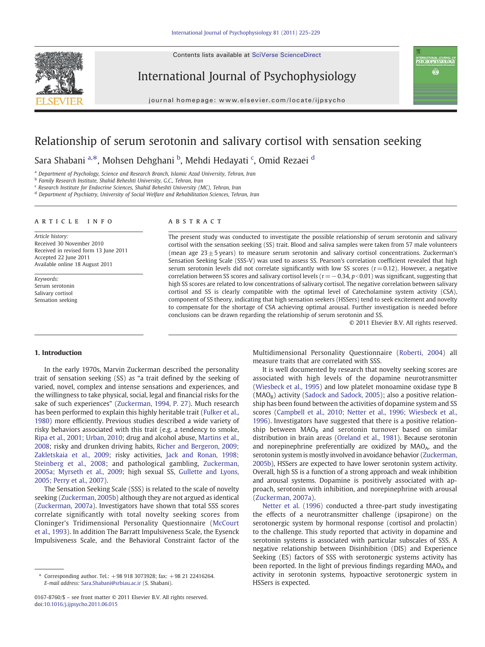Contents lists available at SciVerse ScienceDirect



International Journal of Psychophysiology

journal homepage: www.elsevier.com/locate/ijpsycho

## Relationship of serum serotonin and salivary cortisol with sensation seeking

Sara Shabani <sup>a,\*</sup>, Mohsen Dehghani <sup>b</sup>, Mehdi Hedayati <sup>c</sup>, Omid Rezaei <sup>d</sup>

a Department of Psychology, Science and Research Branch, Islamic Azad University, Tehran, Iran

b Family Research Institute, Shahid Beheshti University, G.C., Tehran, Iran

<sup>c</sup> Research Institute for Endocrine Sciences, Shahid Beheshti University (MC), Tehran, Iran

<sup>d</sup> Department of Psychiatry, University of Social Welfare and Rehabilitation Sciences, Tehran, Iran

#### article info abstract

Article history: Received 30 November 2010 Received in revised form 13 June 2011 Accepted 22 June 2011 Available online 18 August 2011

Keywords: Serum serotonin Salivary cortisol Sensation seeking

The present study was conducted to investigate the possible relationship of serum serotonin and salivary cortisol with the sensation seeking (SS) trait. Blood and saliva samples were taken from 57 male volunteers (mean age  $23 \pm 5$  years) to measure serum serotonin and salivary cortisol concentrations. Zuckerman's Sensation Seeking Scale (SSS-V) was used to assess SS. Pearson's correlation coefficient revealed that high serum serotonin levels did not correlate significantly with low SS scores  $(r= 0.12)$ . However, a negative correlation between SS scores and salivary cortisol levels ( $r = −0.34$ ,  $p < 0.01$ ) was significant, suggesting that high SS scores are related to low concentrations of salivary cortisol. The negative correlation between salivary cortisol and SS is clearly compatible with the optimal level of Catecholamine system activity (CSA), component of SS theory, indicating that high sensation seekers (HSSers) tend to seek excitement and novelty to compensate for the shortage of CSA achieving optimal arousal. Further investigation is needed before conclusions can be drawn regarding the relationship of serum serotonin and SS.

© 2011 Elsevier B.V. All rights reserved.

nternational journal of<br>**PSYCHOPHYSIOLOGY** Ö

### 1. Introduction

In the early 1970s, Marvin Zuckerman described the personality trait of sensation seeking (SS) as "a trait defined by the seeking of varied, novel, complex and intense sensations and experiences, and the willingness to take physical, social, legal and financial risks for the sake of such experiences" [\(Zuckerman, 1994, P. 27](#page--1-0)). Much research has been performed to explain this highly heritable trait ([Fulker et al.,](#page--1-0) [1980\)](#page--1-0) more efficiently. Previous studies described a wide variety of risky behaviors associated with this trait (e.g. a tendency to smoke, [Ripa et al., 2001; Urban, 2010](#page--1-0); drug and alcohol abuse, [Martins et al.,](#page--1-0) [2008;](#page--1-0) risky and drunken driving habits, [Richer and Bergeron, 2009;](#page--1-0) [Zakletskaia et al., 2009;](#page--1-0) risky activities, [Jack and Ronan, 1998;](#page--1-0) [Steinberg et al., 2008;](#page--1-0) and pathological gambling, [Zuckerman,](#page--1-0) [2005a; Myrseth et al., 2009](#page--1-0); high sexual SS, [Gullette and Lyons,](#page--1-0) [2005; Perry et al., 2007\)](#page--1-0).

The Sensation Seeking Scale (SSS) is related to the scale of novelty seeking [\(Zuckerman, 2005b](#page--1-0)) although they are not argued as identical [\(Zuckerman, 2007a\)](#page--1-0). Investigators have shown that total SSS scores correlate significantly with total novelty seeking scores from Cloninger's Tridimensional Personality Questionnaire [\(McCourt](#page--1-0) [et al., 1993](#page--1-0)). In addition The Barratt Impulsiveness Scale, the Eysenck Impulsiveness Scale, and the Behavioral Constraint factor of the

Multidimensional Personality Questionnaire ([Roberti, 2004\)](#page--1-0) all measure traits that are correlated with SSS.

It is well documented by research that novelty seeking scores are associated with high levels of the dopamine neurotransmitter [\(Wiesbeck et al., 1995](#page--1-0)) and low platelet monoamine oxidase type B  $(MAO<sub>B</sub>)$  activity ([Sadock and Sadock, 2005\)](#page--1-0); also a positive relationship has been found between the activities of dopamine system and SS scores [\(Campbell et al., 2010; Netter et al., 1996; Wiesbeck et al.,](#page--1-0) [1996\)](#page--1-0). Investigators have suggested that there is a positive relationship between  $MAO_B$  and serotonin turnover based on similar distribution in brain areas [\(Oreland et al., 1981\)](#page--1-0). Because serotonin and norepinephrine preferentially are oxidized by MAO<sub>A</sub>, and the serotonin system is mostly involved in avoidance behavior ([Zuckerman,](#page--1-0) [2005b\)](#page--1-0), HSSers are expected to have lower serotonin system activity. Overall, high SS is a function of a strong approach and weak inhibition and arousal systems. Dopamine is positively associated with approach, serotonin with inhibition, and norepinephrine with arousal [\(Zuckerman, 2007a\)](#page--1-0).

[Netter et al. \(1996\)](#page--1-0) conducted a three-part study investigating the effects of a neurotransmitter challenge (ipsapirone) on the serotonergic system by hormonal response (cortisol and prolactin) to the challenge. This study reported that activity in dopamine and serotonin systems is associated with particular subscales of SSS. A negative relationship between Disinhibition (DIS) and Experience Seeking (ES) factors of SSS with serotonergic systems activity has been reported. In the light of previous findings regarding  $MAO<sub>A</sub>$  and activity in serotonin systems, hypoactive serotonergic system in HSSers is expected.

<sup>⁎</sup> Corresponding author. Tel.: +98 918 3073928; fax: +98 21 22416264. E-mail address: [Sara.Shabani@srbiau.ac.ir](mailto:Sara.Shabani@srbiau.ac.ir) (S. Shabani).

<sup>0167-8760/\$</sup> – see front matter © 2011 Elsevier B.V. All rights reserved. doi:[10.1016/j.ijpsycho.2011.06.015](http://dx.doi.org/10.1016/j.ijpsycho.2011.06.015)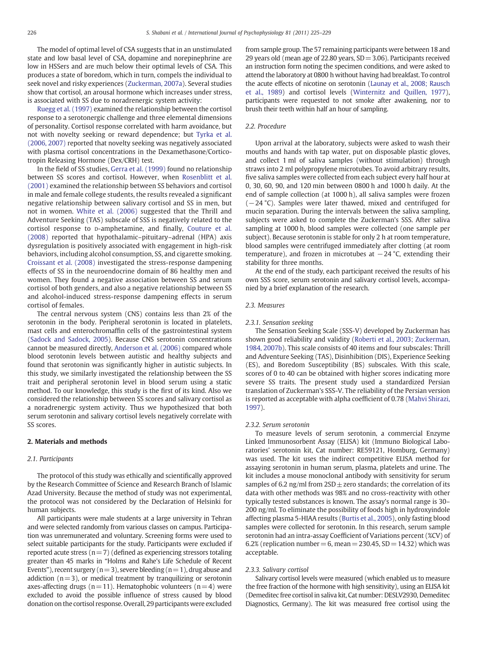The model of optimal level of CSA suggests that in an unstimulated state and low basal level of CSA, dopamine and norepinephrine are low in HSSers and are much below their optimal levels of CSA. This produces a state of boredom, which in turn, compels the individual to seek novel and risky experiences [\(Zuckerman, 2007a\)](#page--1-0). Several studies show that cortisol, an arousal hormone which increases under stress, is associated with SS due to noradrenergic system activity:

[Ruegg et al. \(1997\)](#page--1-0) examined the relationship between the cortisol response to a serotonergic challenge and three elemental dimensions of personality. Cortisol response correlated with harm avoidance, but not with novelty seeking or reward dependence; but [Tyrka et al.](#page--1-0) [\(2006, 2007\)](#page--1-0) reported that novelty seeking was negatively associated with plasma cortisol concentrations in the Dexamethasone/Corticotropin Releasing Hormone (Dex/CRH) test.

In the field of SS studies, [Gerra et al. \(1999\)](#page--1-0) found no relationship between SS scores and cortisol. However, when [Rosenblitt et al.](#page--1-0) [\(2001\)](#page--1-0) examined the relationship between SS behaviors and cortisol in male and female college students, the results revealed a significant negative relationship between salivary cortisol and SS in men, but not in women. [White et al. \(2006\)](#page--1-0) suggested that the Thrill and Adventure Seeking (TAS) subscale of SSS is negatively related to the cortisol response to D-amphetamine, and finally, [Couture et al.](#page--1-0) [\(2008\)](#page--1-0) reported that hypothalamic–pituitary–adrenal (HPA) axis dysregulation is positively associated with engagement in high-risk behaviors, including alcohol consumption, SS, and cigarette smoking. [Croissant et al. \(2008\)](#page--1-0) investigated the stress-response dampening effects of SS in the neuroendocrine domain of 86 healthy men and women. They found a negative association between SS and serum cortisol of both genders, and also a negative relationship between SS and alcohol-induced stress-response dampening effects in serum cortisol of females.

The central nervous system (CNS) contains less than 2% of the serotonin in the body. Peripheral serotonin is located in platelets, mast cells and enterochromaffin cells of the gastrointestinal system [\(Sadock and Sadock, 2005\)](#page--1-0). Because CNS serotonin concentrations cannot be measured directly, [Anderson et al. \(2006\)](#page--1-0) compared whole blood serotonin levels between autistic and healthy subjects and found that serotonin was significantly higher in autistic subjects. In this study, we similarly investigated the relationship between the SS trait and peripheral serotonin level in blood serum using a static method. To our knowledge, this study is the first of its kind. Also we considered the relationship between SS scores and salivary cortisol as a noradrenergic system activity. Thus we hypothesized that both serum serotonin and salivary cortisol levels negatively correlate with SS scores.

#### 2. Materials and methods

#### 2.1. Participants

The protocol of this study was ethically and scientifically approved by the Research Committee of Science and Research Branch of Islamic Azad University. Because the method of study was not experimental, the protocol was not considered by the Declaration of Helsinki for human subjects.

All participants were male students at a large university in Tehran and were selected randomly from various classes on campus. Participation was unremunerated and voluntary. Screening forms were used to select suitable participants for the study. Participants were excluded if reported acute stress ( $n=7$ ) (defined as experiencing stressors totaling greater than 45 marks in "Holms and Rahe's Life Schedule of Recent Events"), recent surgery ( $n=3$ ), severe bleeding ( $n=1$ ), drug abuse and addiction  $(n=3)$ , or medical treatment by tranquilizing or serotonin axes-affecting drugs ( $n=11$ ). Hematophobic volunteers ( $n=4$ ) were excluded to avoid the possible influence of stress caused by blood donation on the cortisol response. Overall, 29 participants were excluded

from sample group. The 57 remaining participants were between 18 and 29 years old (mean age of 22.80 years,  $SD = 3.06$ ). Participants received an instruction form noting the specimen conditions, and were asked to attend the laboratory at 0800 h without having had breakfast. To control the acute effects of nicotine on serotonin [\(Launay et al., 2008; Rausch](#page--1-0) [et al., 1989\)](#page--1-0) and cortisol levels ([Winternitz and Quillen, 1977](#page--1-0)), participants were requested to not smoke after awakening, nor to brush their teeth within half an hour of sampling.

#### 2.2. Procedure

Upon arrival at the laboratory, subjects were asked to wash their mouths and hands with tap water, put on disposable plastic gloves, and collect 1 ml of saliva samples (without stimulation) through straws into 2 ml polypropylene microtubes. To avoid arbitrary results, five saliva samples were collected from each subject every half hour at 0, 30, 60, 90, and 120 min between 0800 h and 1000 h daily. At the end of sample collection (at 1000 h), all saliva samples were frozen (−24 °C). Samples were later thawed, mixed and centrifuged for mucin separation. During the intervals between the saliva sampling, subjects were asked to complete the Zuckerman's SSS. After saliva sampling at 1000 h, blood samples were collected (one sample per subject). Because serotonin is stable for only 2 h at room temperature, blood samples were centrifuged immediately after clotting (at room temperature), and frozen in microtubes at  $-24$  °C, extending their stability for three months.

At the end of the study, each participant received the results of his own SSS score, serum serotonin and salivary cortisol levels, accompanied by a brief explanation of the research.

#### 2.3. Measures

#### 2.3.1. Sensation seeking

The Sensation Seeking Scale (SSS-V) developed by Zuckerman has shown good reliability and validity ([Roberti et al., 2003; Zuckerman,](#page--1-0) [1984, 2007b](#page--1-0)). This scale consists of 40 items and four subscales: Thrill and Adventure Seeking (TAS), Disinhibition (DIS), Experience Seeking (ES), and Boredom Susceptibility (BS) subscales. With this scale, scores of 0 to 40 can be obtained with higher scores indicating more severe SS traits. The present study used a standardized Persian translation of Zuckerman's SSS-V. The reliability of the Persian version is reported as acceptable with alpha coefficient of 0.78 ([Mahvi Shirazi,](#page--1-0) [1997\)](#page--1-0).

#### 2.3.2. Serum serotonin

To measure levels of serum serotonin, a commercial Enzyme Linked Immunosorbent Assay (ELISA) kit (Immuno Biological Laboratories' serotonin kit, Cat number: RE59121, Homburg, Germany) was used. The kit uses the indirect competitive ELISA method for assaying serotonin in human serum, plasma, platelets and urine. The kit includes a mouse monoclonal antibody with sensitivity for serum samples of 6.2 ng/ml from  $2SD \pm$  zero standards; the correlation of its data with other methods was 98% and no cross-reactivity with other typically tested substances is known. The assay's normal range is 30– 200 ng/ml. To eliminate the possibility of foods high in hydroxyindole affecting plasma 5-HIAA results ([Burtis et al., 2005\)](#page--1-0), only fasting blood samples were collected for serotonin. In this research, serum sample serotonin had an intra-assay Coefficient of Variations percent (%CV) of 6.2% (replication number = 6, mean =  $230.45$ , SD =  $14.32$ ) which was acceptable.

#### 2.3.3. Salivary cortisol

Salivary cortisol levels were measured (which enabled us to measure the free fraction of the hormone with high sensitivity), using an ELISA kit (Demeditec free cortisol in saliva kit, Cat number: DESLV2930, Demeditec Diagnostics, Germany). The kit was measured free cortisol using the